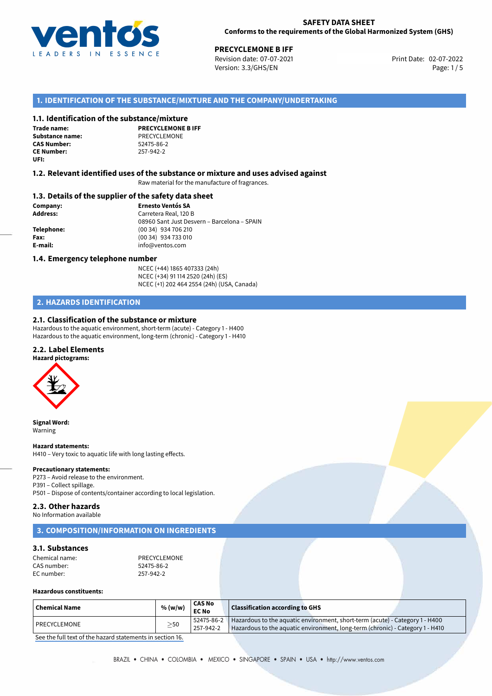

**PRECYCLEMONE B IFF**<br>
Revision date: 07-07-2021 **Print Date: 02-07-2022** Version: 3.3/GHS/EN Page: 1/5

# **1. IDENTIFICATION OF THE SUBSTANCE/MIXTURE AND THE COMPANY/UNDERTAKING**

## **1.1. Identification of the substance/mixture**

**Trade name: Substance name:** PRECYCLEMONE<br> **CAS Number:** 52475-86-2 **CAS Number: CE Number:** 257-942-2 **UFI:**

**PRECYCLEMONE B IFF**

## **1.2. Relevant identified uses of the substance or mixture and uses advised against**

Raw material for the manufacture of fragrances.

## **1.3. Details of the supplier of the safety data sheet**

**Company: Ernesto Ventós SA Address:** Carretera Real, 120 B 08960 Sant Just Desvern – Barcelona – SPAIN **Telephone:** (00 34) 934 706 210 **Fax:** (00 34) 934 733 010 **E-mail:** info@ventos.com

## **1.4. Emergency telephone number**

NCEC (+44) 1865 407333 (24h) NCEC (+34) 91 114 2520 (24h) (ES) NCEC (+1) 202 464 2554 (24h) (USA, Canada)

# **2. HAZARDS IDENTIFICATION**

## **2.1. Classification of the substance or mixture**

Hazardous to the aquatic environment, short-term (acute) - Category 1 - H400 Hazardous to the aquatic environment, long-term (chronic) - Category 1 - H410

## **2.2. Label Elements**



**Signal Word:** Warning

#### **Hazard statements:**

H410 – Very toxic to aquatic life with long lasting effects.

#### **Precautionary statements:**

P273 – Avoid release to the environment. P391 – Collect spillage. P501 – Dispose of contents/container according to local legislation.

### **2.3. Other hazards**

No Information available

# **3. COMPOSITION/INFORMATION ON INGREDIENTS**

## **3.1. Substances**

| PRECYCLEMONE |
|--------------|
| 52475-86-2   |
| 257-942-2    |
|              |

## **Hazardous constituents:**

| Chemical Name  | % (w/w)   | <b>CAS No</b><br><b>EC No</b> | Classification according to GHS                                                                                                                                            |
|----------------|-----------|-------------------------------|----------------------------------------------------------------------------------------------------------------------------------------------------------------------------|
| l PRECYCLEMONE | $\geq$ 50 | 257-942-2                     | $52475-86-2$ Hazardous to the aquatic environment, short-term (acute) - Category 1 - H400<br>Hazardous to the aquatic environment, long-term (chronic) - Category 1 - H410 |

[See the full text of the hazard statements in section 16.](#page--1-0)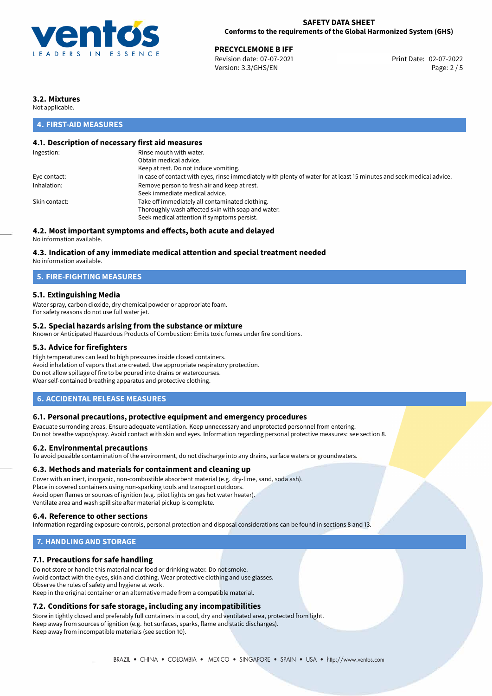

## **SAFETY DATA SHEET Conforms to the requirements of the Global Harmonized System (GHS)**

**PRECYCLEMONE B IFF**<br>
Revision date: 07-07-2021 **Print Date: 02-07-2022** Version: 3.3/GHS/EN Page: 2 / 5

# **3.2. Mixtures**

Not applicable.

# **4. FIRST-AID MEASURES**

# **4.1. Description of necessary first aid measures**

| Ingestion:    | Rinse mouth with water.                                                                                               |
|---------------|-----------------------------------------------------------------------------------------------------------------------|
|               | Obtain medical advice.                                                                                                |
|               | Keep at rest. Do not induce vomiting.                                                                                 |
| Eye contact:  | In case of contact with eyes, rinse immediately with plenty of water for at least 15 minutes and seek medical advice. |
| Inhalation:   | Remove person to fresh air and keep at rest.                                                                          |
|               | Seek immediate medical advice.                                                                                        |
| Skin contact: | Take off immediately all contaminated clothing.                                                                       |
|               | Thoroughly wash affected skin with soap and water.                                                                    |
|               | Seek medical attention if symptoms persist.                                                                           |
|               |                                                                                                                       |

# **4.2. Most important symptoms and effects, both acute and delayed**

No information available.

## **4.3. Indication of any immediate medical attention and special treatment needed**

No information available.

# **5. FIRE-FIGHTING MEASURES**

## **5.1. Extinguishing Media**

Water spray, carbon dioxide, dry chemical powder or appropriate foam. For safety reasons do not use full water jet.

## **5.2. Special hazards arising from the substance or mixture**

Known or Anticipated Hazardous Products of Combustion: Emits toxic fumes under fire conditions.

## **5.3. Advice for firefighters**

High temperatures can lead to high pressures inside closed containers. Avoid inhalation of vapors that are created. Use appropriate respiratory protection. Do not allow spillage of fire to be poured into drains or watercourses. Wear self-contained breathing apparatus and protective clothing.

## **6. ACCIDENTAL RELEASE MEASURES**

### **6.1. Personal precautions, protective equipment and emergency procedures**

Evacuate surronding areas. Ensure adequate ventilation. Keep unnecessary and unprotected personnel from entering. Do not breathe vapor/spray. Avoid contact with skin and eyes. Information regarding personal protective measures: see section 8.

### **6.2. Environmental precautions**

To avoid possible contamination of the environment, do not discharge into any drains, surface waters or groundwaters.

### **6.3. Methods and materials for containment and cleaning up**

Cover with an inert, inorganic, non-combustible absorbent material (e.g. dry-lime, sand, soda ash). Place in covered containers using non-sparking tools and transport outdoors. Avoid open flames or sources of ignition (e.g. pilot lights on gas hot water heater). Ventilate area and wash spill site after material pickup is complete.

## **6.4. Reference to other sections**

Information regarding exposure controls, personal protection and disposal considerations can be found in sections 8 and 13.

# **7. HANDLING AND STORAGE**

## **7.1. Precautions for safe handling**

Do not store or handle this material near food or drinking water. Do not smoke. Avoid contact with the eyes, skin and clothing. Wear protective clothing and use glasses. Observe the rules of safety and hygiene at work. Keep in the original container or an alternative made from a compatible material.

# **7.2. Conditions for safe storage, including any incompatibilities**

Store in tightly closed and preferably full containers in a cool, dry and ventilated area, protected from light. Keep away from sources of ignition (e.g. hot surfaces, sparks, flame and static discharges). Keep away from incompatible materials (see section 10).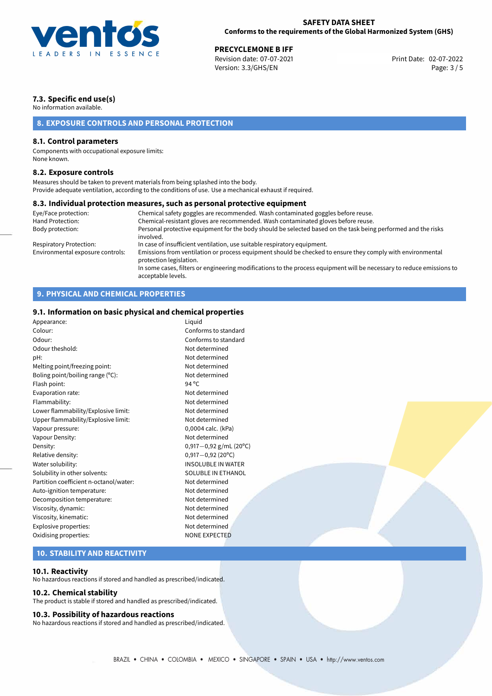

**PRECYCLEMONE B IFF**<br>
Revision date: 07-07-2021 **Print Date: 02-07-2022** Version: 3.3/GHS/EN Page: 3 / 5

# **7.3. Specific end use(s)**

No information available.

# **8. EXPOSURE CONTROLS AND PERSONAL PROTECTION**

## **8.1. Control parameters**

Components with occupational exposure limits: None known.

## **8.2. Exposure controls**

Measures should be taken to prevent materials from being splashed into the body. Provide adequate ventilation, according to the conditions of use. Use a mechanical exhaust if required.

### **8.3. Individual protection measures, such as personal protective equipment**

| Eye/Face protection:             | Chemical safety goggles are recommended. Wash contaminated goggles before reuse.                                                            |
|----------------------------------|---------------------------------------------------------------------------------------------------------------------------------------------|
| Hand Protection:                 | Chemical-resistant gloves are recommended. Wash contaminated gloves before reuse.                                                           |
| Body protection:                 | Personal protective equipment for the body should be selected based on the task being performed and the risks<br>involved.                  |
| Respiratory Protection:          | In case of insufficient ventilation, use suitable respiratory equipment.                                                                    |
| Environmental exposure controls: | Emissions from ventilation or process equipment should be checked to ensure they comply with environmental<br>protection legislation.       |
|                                  | In some cases, filters or engineering modifications to the process equipment will be necessary to reduce emissions to<br>acceptable levels. |

# **9. PHYSICAL AND CHEMICAL PROPERTIES**

# **9.1. Information on basic physical and chemical properties**

| Appearance:                            | Liquid                    |
|----------------------------------------|---------------------------|
| Colour:                                | Conforms to standard      |
| Odour:                                 | Conforms to standard      |
| Odour theshold:                        | Not determined            |
| pH:                                    | Not determined            |
| Melting point/freezing point:          | Not determined            |
| Boling point/boiling range (°C):       | Not determined            |
| Flash point:                           | $94^{\circ}$ C            |
| Evaporation rate:                      | Not determined            |
| Flammability:                          | Not determined            |
| Lower flammability/Explosive limit:    | Not determined            |
| Upper flammability/Explosive limit:    | Not determined            |
| Vapour pressure:                       | 0,0004 calc. (kPa)        |
| Vapour Density:                        | Not determined            |
| Density:                               | $0,917-0,92$ g/mL (20°C)  |
| Relative density:                      | $0,917 - 0,92$ (20°C)     |
| Water solubility:                      | <b>INSOLUBLE IN WATER</b> |
| Solubility in other solvents:          | <b>SOLUBLE IN ETHANOL</b> |
| Partition coefficient n-octanol/water: | Not determined            |
| Auto-ignition temperature:             | Not determined            |
| Decomposition temperature:             | Not determined            |
| Viscosity, dynamic:                    | Not determined            |
| Viscosity, kinematic:                  | Not determined            |
| Explosive properties:                  | Not determined            |
| Oxidising properties:                  | <b>NONE EXPECTED</b>      |
|                                        |                           |
|                                        |                           |

# **10. STABILITY AND REACTIVITY**

## **10.1. Reactivity**

No hazardous reactions if stored and handled as prescribed/indicated.

## **10.2. Chemical stability**

The product is stable if stored and handled as prescribed/indicated.

### **10.3. Possibility of hazardous reactions**

No hazardous reactions if stored and handled as prescribed/indicated.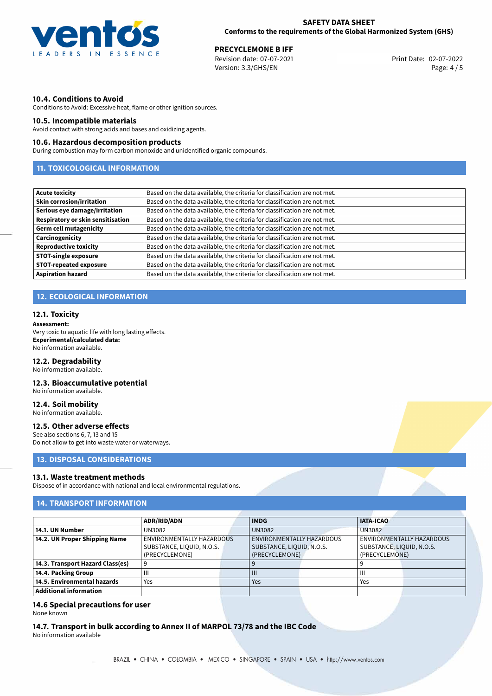

**PRECYCLEMONE B IFF**<br>
Revision date: 07-07-2021 **Print Date: 02-07-2022** Version: 3.3/GHS/EN Page: 4 / 5

# **10.4. Conditions to Avoid**

Conditions to Avoid: Excessive heat, flame or other ignition sources.

## **10.5. Incompatible materials**

Avoid contact with strong acids and bases and oxidizing agents.

## **10.6. Hazardous decomposition products**

During combustion may form carbon monoxide and unidentified organic compounds.

# **11. TOXICOLOGICAL INFORMATION**

| Acute toxicity                    | Based on the data available, the criteria for classification are not met. |
|-----------------------------------|---------------------------------------------------------------------------|
| <b>Skin corrosion/irritation</b>  | Based on the data available, the criteria for classification are not met. |
| Serious eye damage/irritation     | Based on the data available, the criteria for classification are not met. |
| Respiratory or skin sensitisation | Based on the data available, the criteria for classification are not met. |
| Germ cell mutagenicity            | Based on the data available, the criteria for classification are not met. |
| <b>Carcinogenicity</b>            | Based on the data available, the criteria for classification are not met. |
| Reproductive toxicity             | Based on the data available, the criteria for classification are not met. |
| <b>STOT-single exposure</b>       | Based on the data available, the criteria for classification are not met. |
| <b>STOT-repeated exposure</b>     | Based on the data available, the criteria for classification are not met. |
| <b>Aspiration hazard</b>          | Based on the data available, the criteria for classification are not met. |

# **12. ECOLOGICAL INFORMATION**

### **12.1. Toxicity**

#### **Assessment:**

Very toxic to aquatic life with long lasting effects. **Experimental/calculated data:** No information available.

## **12.2. Degradability**

No information available.

# **12.3. Bioaccumulative potential**

No information available.

# **12.4. Soil mobility**

No information available.

## **12.5. Other adverse effects**

See also sections 6, 7, 13 and 15 Do not allow to get into waste water or waterways.

## **13. DISPOSAL CONSIDERATIONS**

### **13.1. Waste treatment methods**

Dispose of in accordance with national and local environmental regulations.

# **14. TRANSPORT INFORMATION**

|                                  | <b>ADR/RID/ADN</b>                                                       |  | <b>IMDG</b>   |                                                                                 | <b>IATA-ICAO</b> |                                                                          |
|----------------------------------|--------------------------------------------------------------------------|--|---------------|---------------------------------------------------------------------------------|------------------|--------------------------------------------------------------------------|
| 14.1. UN Number                  | UN3082                                                                   |  | <b>UN3082</b> |                                                                                 | <b>UN3082</b>    |                                                                          |
| 14.2. UN Proper Shipping Name    | ENVIRONMENTALLY HAZARDOUS<br>SUBSTANCE, LIQUID, N.O.S.<br>(PRECYCLEMONE) |  |               | <b>ENVIRONMENTALLY HAZARDOUS</b><br>SUBSTANCE, LIQUID, N.O.S.<br>(PRECYCLEMONE) |                  | ENVIRONMENTALLY HAZARDOUS<br>SUBSTANCE, LIQUID, N.O.S.<br>(PRECYCLEMONE) |
| 14.3. Transport Hazard Class(es) |                                                                          |  |               |                                                                                 |                  |                                                                          |
| 14.4. Packing Group              | $\mathbf{  }$                                                            |  | Ш             |                                                                                 | Ш                |                                                                          |
| 14.5. Environmental hazards      | Yes                                                                      |  | Yes           |                                                                                 | Yes              |                                                                          |
| <b>Additional information</b>    |                                                                          |  |               |                                                                                 |                  |                                                                          |

# **14.6 Special precautions for user**

None known

**14.7. Transport in bulk according to Annex II of MARPOL 73/78 and the IBC Code** No information available